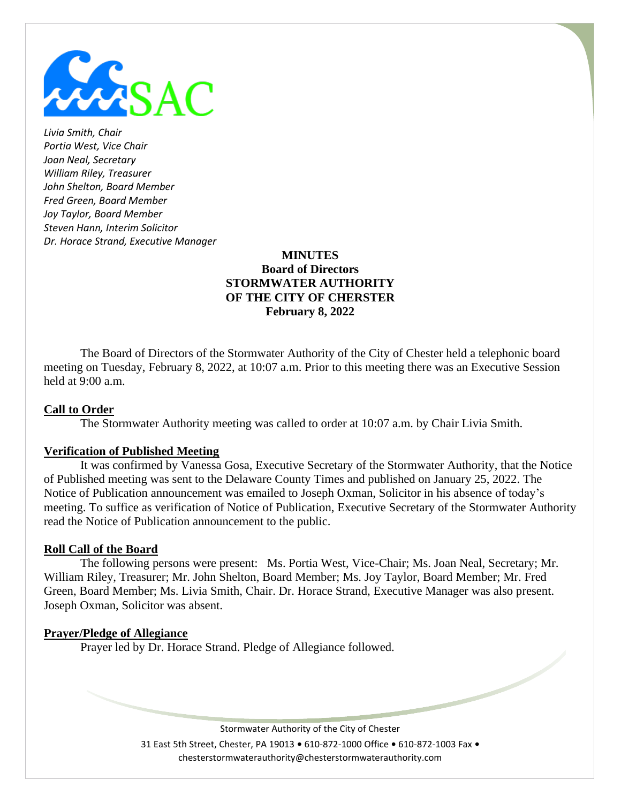

*Livia Smith, Chair Portia West, Vice Chair Joan Neal, Secretary William Riley, Treasurer John Shelton, Board Member Fred Green, Board Member Joy Taylor, Board Member Steven Hann, Interim Solicitor Dr. Horace Strand, Executive Manager*

### **MINUTES Board of Directors STORMWATER AUTHORITY OF THE CITY OF CHERSTER February 8, 2022**

The Board of Directors of the Stormwater Authority of the City of Chester held a telephonic board meeting on Tuesday, February 8, 2022, at 10:07 a.m. Prior to this meeting there was an Executive Session held at 9:00 a.m.

### **Call to Order**

The Stormwater Authority meeting was called to order at 10:07 a.m. by Chair Livia Smith.

#### **Verification of Published Meeting**

It was confirmed by Vanessa Gosa, Executive Secretary of the Stormwater Authority, that the Notice of Published meeting was sent to the Delaware County Times and published on January 25, 2022. The Notice of Publication announcement was emailed to Joseph Oxman, Solicitor in his absence of today's meeting. To suffice as verification of Notice of Publication, Executive Secretary of the Stormwater Authority read the Notice of Publication announcement to the public.

#### **Roll Call of the Board**

The following persons were present: Ms. Portia West, Vice-Chair; Ms. Joan Neal, Secretary; Mr. William Riley, Treasurer; Mr. John Shelton, Board Member; Ms. Joy Taylor, Board Member; Mr. Fred Green, Board Member; Ms. Livia Smith, Chair. Dr. Horace Strand, Executive Manager was also present. Joseph Oxman, Solicitor was absent.

#### **Prayer/Pledge of Allegiance**

Prayer led by Dr. Horace Strand. Pledge of Allegiance followed.

Stormwater Authority of the City of Chester 31 East 5th Street, Chester, PA 19013 **•** 610-872-1000 Office **•** 610-872-1003 Fax **•** chesterstormwaterauthority@chesterstormwaterauthority.com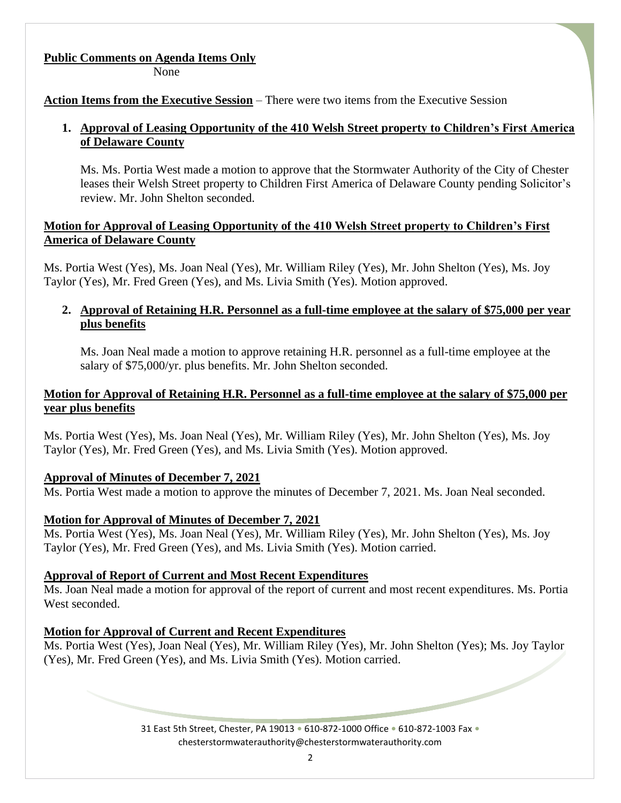### **Public Comments on Agenda Items Only**

None

**Action Items from the Executive Session** – There were two items from the Executive Session

## **1. Approval of Leasing Opportunity of the 410 Welsh Street property to Children's First America of Delaware County**

Ms. Ms. Portia West made a motion to approve that the Stormwater Authority of the City of Chester leases their Welsh Street property to Children First America of Delaware County pending Solicitor's review. Mr. John Shelton seconded.

## **Motion for Approval of Leasing Opportunity of the 410 Welsh Street property to Children's First America of Delaware County**

Ms. Portia West (Yes), Ms. Joan Neal (Yes), Mr. William Riley (Yes), Mr. John Shelton (Yes), Ms. Joy Taylor (Yes), Mr. Fred Green (Yes), and Ms. Livia Smith (Yes). Motion approved.

## **2. Approval of Retaining H.R. Personnel as a full-time employee at the salary of \$75,000 per year plus benefits**

Ms. Joan Neal made a motion to approve retaining H.R. personnel as a full-time employee at the salary of \$75,000/yr. plus benefits. Mr. John Shelton seconded.

## **Motion for Approval of Retaining H.R. Personnel as a full-time employee at the salary of \$75,000 per year plus benefits**

Ms. Portia West (Yes), Ms. Joan Neal (Yes), Mr. William Riley (Yes), Mr. John Shelton (Yes), Ms. Joy Taylor (Yes), Mr. Fred Green (Yes), and Ms. Livia Smith (Yes). Motion approved.

# **Approval of Minutes of December 7, 2021**

Ms. Portia West made a motion to approve the minutes of December 7, 2021. Ms. Joan Neal seconded.

# **Motion for Approval of Minutes of December 7, 2021**

Ms. Portia West (Yes), Ms. Joan Neal (Yes), Mr. William Riley (Yes), Mr. John Shelton (Yes), Ms. Joy Taylor (Yes), Mr. Fred Green (Yes), and Ms. Livia Smith (Yes). Motion carried.

# **Approval of Report of Current and Most Recent Expenditures**

Ms. Joan Neal made a motion for approval of the report of current and most recent expenditures. Ms. Portia West seconded.

# **Motion for Approval of Current and Recent Expenditures**

Ms. Portia West (Yes), Joan Neal (Yes), Mr. William Riley (Yes), Mr. John Shelton (Yes); Ms. Joy Taylor (Yes), Mr. Fred Green (Yes), and Ms. Livia Smith (Yes). Motion carried.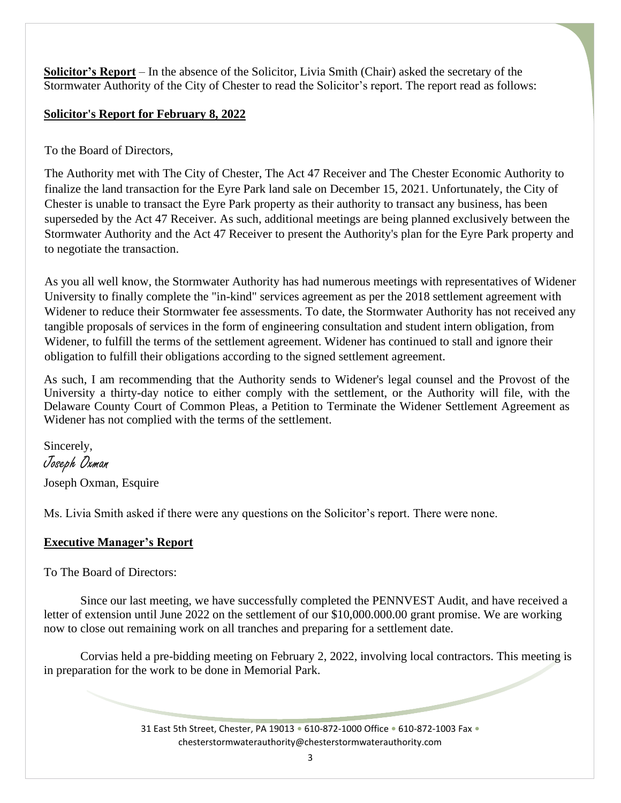**Solicitor's Report** – In the absence of the Solicitor, Livia Smith (Chair) asked the secretary of the Stormwater Authority of the City of Chester to read the Solicitor's report. The report read as follows:

## **Solicitor's Report for February 8, 2022**

To the Board of Directors,

The Authority met with The City of Chester, The Act 47 Receiver and The Chester Economic Authority to finalize the land transaction for the Eyre Park land sale on December 15, 2021. Unfortunately, the City of Chester is unable to transact the Eyre Park property as their authority to transact any business, has been superseded by the Act 47 Receiver. As such, additional meetings are being planned exclusively between the Stormwater Authority and the Act 47 Receiver to present the Authority's plan for the Eyre Park property and to negotiate the transaction.

As you all well know, the Stormwater Authority has had numerous meetings with representatives of Widener University to finally complete the "in-kind" services agreement as per the 2018 settlement agreement with Widener to reduce their Stormwater fee assessments. To date, the Stormwater Authority has not received any tangible proposals of services in the form of engineering consultation and student intern obligation, from Widener, to fulfill the terms of the settlement agreement. Widener has continued to stall and ignore their obligation to fulfill their obligations according to the signed settlement agreement.

As such, I am recommending that the Authority sends to Widener's legal counsel and the Provost of the University a thirty-day notice to either comply with the settlement, or the Authority will file, with the Delaware County Court of Common Pleas, a Petition to Terminate the Widener Settlement Agreement as Widener has not complied with the terms of the settlement.

Sincerely, Joseph Oxman Joseph Oxman, Esquire

Ms. Livia Smith asked if there were any questions on the Solicitor's report. There were none.

# **Executive Manager's Report**

To The Board of Directors:

Since our last meeting, we have successfully completed the PENNVEST Audit, and have received a letter of extension until June 2022 on the settlement of our \$10,000.000.00 grant promise. We are working now to close out remaining work on all tranches and preparing for a settlement date.

Corvias held a pre-bidding meeting on February 2, 2022, involving local contractors. This meeting is in preparation for the work to be done in Memorial Park.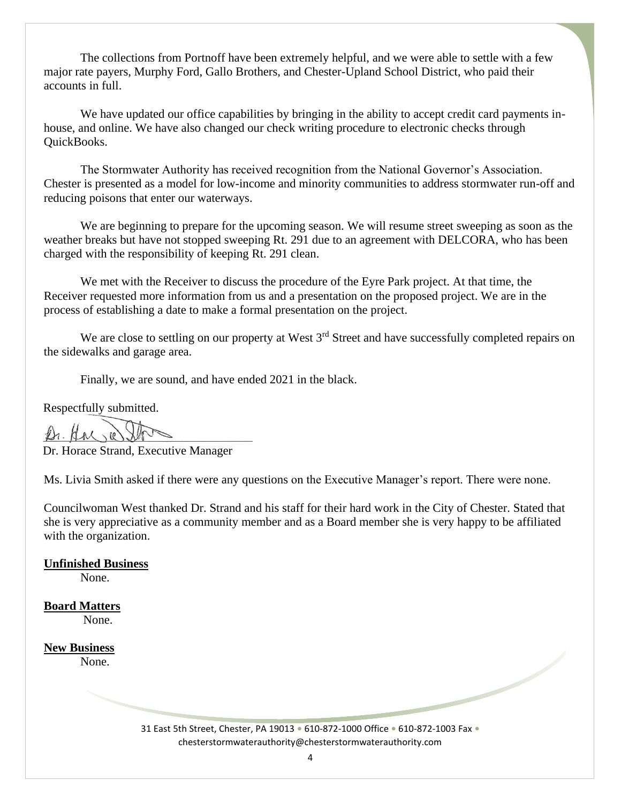The collections from Portnoff have been extremely helpful, and we were able to settle with a few major rate payers, Murphy Ford, Gallo Brothers, and Chester-Upland School District, who paid their accounts in full.

We have updated our office capabilities by bringing in the ability to accept credit card payments inhouse, and online. We have also changed our check writing procedure to electronic checks through QuickBooks.

The Stormwater Authority has received recognition from the National Governor's Association. Chester is presented as a model for low-income and minority communities to address stormwater run-off and reducing poisons that enter our waterways.

We are beginning to prepare for the upcoming season. We will resume street sweeping as soon as the weather breaks but have not stopped sweeping Rt. 291 due to an agreement with DELCORA, who has been charged with the responsibility of keeping Rt. 291 clean.

We met with the Receiver to discuss the procedure of the Eyre Park project. At that time, the Receiver requested more information from us and a presentation on the proposed project. We are in the process of establishing a date to make a formal presentation on the project.

We are close to settling on our property at West 3<sup>rd</sup> Street and have successfully completed repairs on the sidewalks and garage area.

Finally, we are sound, and have ended 2021 in the black.

Respectfully submitted.

Dr. Horace Strand, Executive Manager

Ms. Livia Smith asked if there were any questions on the Executive Manager's report. There were none.

Councilwoman West thanked Dr. Strand and his staff for their hard work in the City of Chester. Stated that she is very appreciative as a community member and as a Board member she is very happy to be affiliated with the organization.

**Unfinished Business** None.

**Board Matters** None.

**New Business** None.